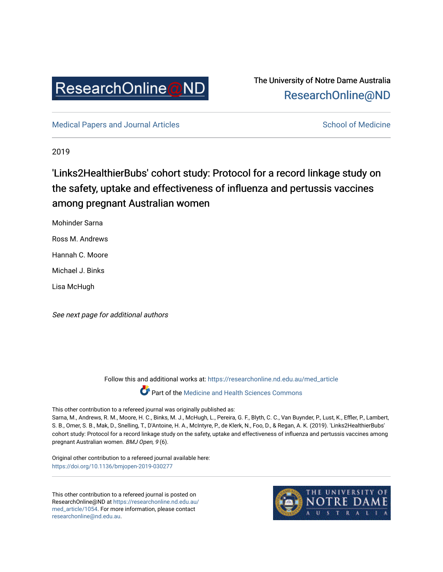

[Medical Papers and Journal Articles](https://researchonline.nd.edu.au/med_article) [School of Medicine](https://researchonline.nd.edu.au/med) School of Medicine

2019

# 'Links2HealthierBubs' cohort study: Protocol for a record linkage study on the safety, uptake and effectiveness of influenza and pertussis vaccines among pregnant Australian women

Mohinder Sarna

Ross M. Andrews

Hannah C. Moore

Michael J. Binks

Lisa McHugh

See next page for additional authors

Follow this and additional works at: [https://researchonline.nd.edu.au/med\\_article](https://researchonline.nd.edu.au/med_article?utm_source=researchonline.nd.edu.au%2Fmed_article%2F1054&utm_medium=PDF&utm_campaign=PDFCoverPages) 

Part of the [Medicine and Health Sciences Commons](http://network.bepress.com/hgg/discipline/648?utm_source=researchonline.nd.edu.au%2Fmed_article%2F1054&utm_medium=PDF&utm_campaign=PDFCoverPages)

This other contribution to a refereed journal was originally published as:

Sarna, M., Andrews, R. M., Moore, H. C., Binks, M. J., McHugh, L., Pereira, G. F., Blyth, C. C., Van Buynder, P., Lust, K., Effler, P., Lambert, S. B., Omer, S. B., Mak, D., Snelling, T., D'Antoine, H. A., McIntyre, P., de Klerk, N., Foo, D., & Regan, A. K. (2019). 'Links2HealthierBubs' cohort study: Protocol for a record linkage study on the safety, uptake and effectiveness of influenza and pertussis vaccines among pregnant Australian women. BMJ Open, 9 (6).

Original other contribution to a refereed journal available here: <https://doi.org/10.1136/bmjopen-2019-030277>

This other contribution to a refereed journal is posted on ResearchOnline@ND at [https://researchonline.nd.edu.au/](https://researchonline.nd.edu.au/med_article/1054) [med\\_article/1054.](https://researchonline.nd.edu.au/med_article/1054) For more information, please contact [researchonline@nd.edu.au.](mailto:researchonline@nd.edu.au)

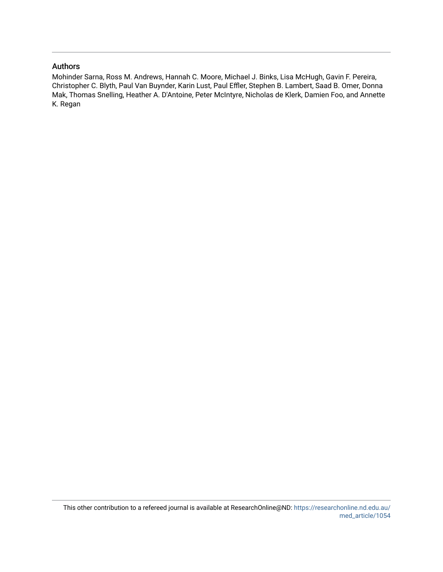# Authors

Mohinder Sarna, Ross M. Andrews, Hannah C. Moore, Michael J. Binks, Lisa McHugh, Gavin F. Pereira, Christopher C. Blyth, Paul Van Buynder, Karin Lust, Paul Effler, Stephen B. Lambert, Saad B. Omer, Donna Mak, Thomas Snelling, Heather A. D'Antoine, Peter McIntyre, Nicholas de Klerk, Damien Foo, and Annette K. Regan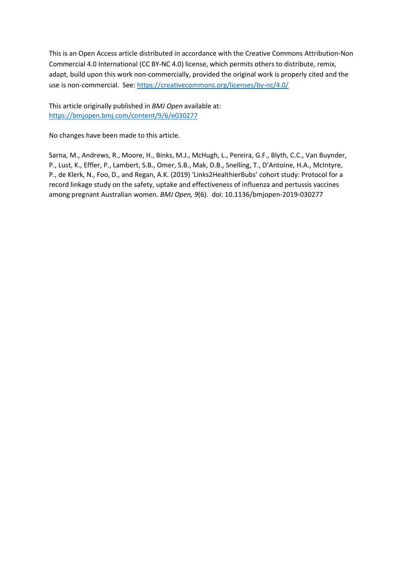This is an Open Access article distributed in accordance with the Creative Commons Attribution-Non Commercial 4.0 International (CC BY-NC 4.0) license, which permits others to distribute, remix, adapt, build upon this work non-commercially, provided the original work is properly cited and the use is non-commercial. See: https://creativecommons.org/licenses/by-nc/4.0/

This article originally published in *BMJ Open* available at: <https://bmjopen.bmj.com/content/9/6/e030277>

No changes have been made to this article.

Sarna, M., Andrews, R., Moore, H., Binks, M.J., McHugh, L., Pereira, G.F., Blyth, C.C., Van Buynder, P., Lust, K., Effler, P., Lambert, S.B., Omer, S.B., Mak, D.B., Snelling, T., D'Antoine, H.A., McIntyre, P., de Klerk, N., Foo, D., and Regan, A.K. (2019) 'Links2HealthierBubs' cohort study: Protocol for a record linkage study on the safety, uptake and effectiveness of influenza and pertussis vaccines among pregnant Australian women. *BMJ Open, 9*(6). doi: 10.1136/bmjopen-2019-030277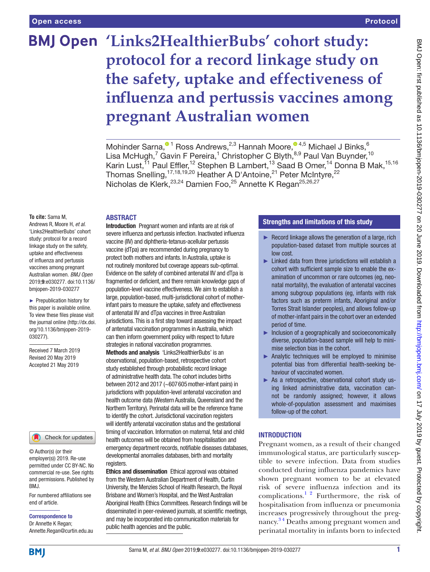# **'Links2HealthierBubs' cohort study: protocol for a record linkage study on the safety, uptake and effectiveness of influenza and pertussis vaccines among pregnant Australian women**

Mohinder Sarna[,](http://orcid.org/0000-0001-6434-8290)<sup>®1</sup> Ross Andrews,<sup>2,3</sup> Hannah Moore,<sup>®4,5</sup> Michael J Binks,<sup>6</sup> Lisa McHugh,<sup>7</sup> Gavin F Pereira,<sup>1</sup> Christopher C Blyth,<sup>8,9</sup> Paul Van Buynder,<sup>10</sup> Karin Lust,<sup>11</sup> Paul Effler,<sup>12</sup> Stephen B Lambert,<sup>13</sup> Saad B Omer,<sup>14</sup> Donna B Mak,<sup>15,16</sup> Thomas Snelling,<sup>17,18,19,20</sup> Heather A D'Antoine,<sup>21</sup> Peter McIntyre,<sup>22</sup> Nicholas de Klerk, <sup>23,24</sup> Damien Foo, <sup>25</sup> Annette K Regan<sup>25,26,27</sup>

#### **ABSTRACT**

**To cite:** Sarna M, Andrews R, Moore H, *et al*. 'Links2HealthierBubs' cohort study: protocol for a record linkage study on the safety, uptake and effectiveness of influenza and pertussis vaccines among pregnant Australian women. *BMJ Open* 2019;9:e030277. doi:10.1136/ bmjopen-2019-030277

► Prepublication history for this paper is available online. To view these files please visit the journal online [\(http://dx.doi.](http://dx.doi.org/10.1136/bmjopen-2019-030277) [org/10.1136/bmjopen-2019-](http://dx.doi.org/10.1136/bmjopen-2019-030277) [030277\)](http://dx.doi.org/10.1136/bmjopen-2019-030277).

Received 7 March 2019 Revised 20 May 2019 Accepted 21 May 2019



© Author(s) (or their employer(s)) 2019. Re-use permitted under CC BY-NC. No commercial re-use. See rights and permissions. Published by BMJ.

For numbered affiliations see end of article.

Correspondence to

Dr Annette K Regan; Annette.Regan@curtin.edu.au

Introduction Pregnant women and infants are at risk of severe influenza and pertussis infection. Inactivated influenza vaccine (IIV) and diphtheria-tetanus-acellular pertussis vaccine (dTpa) are recommended during pregnancy to protect both mothers and infants. In Australia, uptake is not routinely monitored but coverage appears sub-optimal. Evidence on the safety of combined antenatal IIV and dTpa is fragmented or deficient, and there remain knowledge gaps of population-level vaccine effectiveness. We aim to establish a large, population-based, multi-jurisdictional cohort of motherinfant pairs to measure the uptake, safety and effectiveness of antenatal IIV and dTpa vaccines in three Australian jurisdictions. This is a first step toward assessing the impact of antenatal vaccination programmes in Australia, which can then inform government policy with respect to future strategies in national vaccination programmes.

Methods and analysis 'Links2HealthierBubs' is an observational, population-based, retrospective cohort study established through probabilistic record linkage of administrative health data. The cohort includes births between 2012 and 2017 (~607605mother-infant pairs) in jurisdictions with population-level antenatal vaccination and health outcome data (Western Australia, Queensland and the Northern Territory). Perinatal data will be the reference frame to identify the cohort. Jurisdictional vaccination registers will identify antenatal vaccination status and the gestational timing of vaccination. Information on maternal, fetal and child health outcomes will be obtained from hospitalisation and emergency department records, notifiable diseases databases, developmental anomalies databases, birth and mortality registers.

Ethics and dissemination Ethical approval was obtained from the Western Australian Department of Health, Curtin University, the Menzies School of Health Research, the Royal Brisbane and Women's Hospital, and the West Australian Aboriginal Health Ethics Committees. Research findings will be disseminated in peer-reviewed journals, at scientific meetings, and may be incorporated into communication materials for public health agencies and the public.

# Strengths and limitations of this study

- $\blacktriangleright$  Record linkage allows the generation of a large, rich population-based dataset from multiple sources at low cost.
- $\blacktriangleright$  Linked data from three jurisdictions will establish a cohort with sufficient sample size to enable the examination of uncommon or rare outcomes (eg, neonatal mortality), the evaluation of antenatal vaccines among subgroup populations (eg, infants with risk factors such as preterm infants, Aboriginal and/or Torres Strait Islander peoples), and allows follow-up of mother-infant pairs in the cohort over an extended period of time.
- ► Inclusion of a geographically and socioeconomically diverse, population-based sample will help to minimise selection bias in the cohort.
- ► Analytic techniques will be employed to minimise potential bias from differential health-seeking behaviour of vaccinated women.
- ► As a retrospective, observational cohort study using linked administrative data, vaccination cannot be randomly assigned; however, it allows whole-of-population assessment and maximises follow-up of the cohort.

# **INTRODUCTION**

Pregnant women, as a result of their changed immunological status, are particularly susceptible to severe infection. Data from studies conducted during influenza pandemics have shown pregnant women to be at elevated risk of severe influenza infection and its complications. $1^2$  Furthermore, the risk of hospitalisation from influenza or pneumonia increases progressively throughout the pregnancy. [3 4](#page-10-1) Deaths among pregnant women and perinatal mortality in infants born to infected

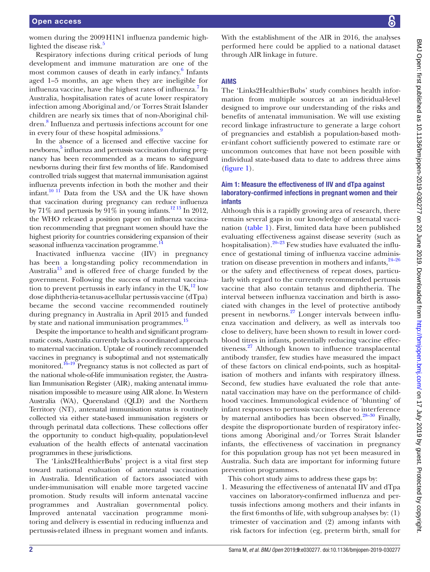women during the 2009H1N1 influenza pandemic highlighted the disease risk.<sup>5</sup>

Respiratory infections during critical periods of lung development and immune maturation are one of the most common causes of death in early infancy.<sup>[6](#page-10-3)</sup> Infants aged 1–5 months, an age when they are ineligible for influenza vaccine, have the highest rates of influenza.<sup>[7](#page-10-4)</sup> In Australia, hospitalisation rates of acute lower respiratory infection among Aboriginal and/or Torres Strait Islander children are nearly six times that of non-Aboriginal chil-dren.<sup>[8](#page-10-5)</sup> Influenza and pertussis infections account for one in every four of these hospital admissions.<sup>9</sup>

In the absence of a licensed and effective vaccine for newborns,<sup>5</sup> influenza and pertussis vaccination during pregnancy has been recommended as a means to safeguard newborns during their first few months of life. Randomised controlled trials suggest that maternal immunisation against influenza prevents infection in both the mother and their infant. $10$  11 Data from the USA and the UK have shown that vaccination during pregnancy can reduce influenza by 71% and pertussis by 91% in young infants.<sup>12 13</sup> In 2012, the WHO released a position paper on influenza vaccination recommending that pregnant women should have the highest priority for countries considering expansion of their seasonal influenza vaccination programme.<sup>1</sup>

Inactivated influenza vaccine (IIV) in pregnancy has been a long-standing policy recommendation in Australia<sup>15</sup> and is offered free of charge funded by the government. Following the success of maternal vaccination to prevent pertussis in early infancy in the  $UK<sup>12</sup>$  low dose diphtheria-tetanus-acellular pertussis vaccine (dTpa) became the second vaccine recommended routinely during pregnancy in Australia in April 2015 and funded by state and national immunisation programmes.<sup>15</sup>

Despite the importance to health and significant programmatic costs, Australia currently lacks a coordinated approach to maternal vaccination. Uptake of routinely recommended vaccines in pregnancy is suboptimal and not systematically monitored[.16–19](#page-10-11) Pregnancy status is not collected as part of the national whole-of-life immunisation register, the Australian Immunisation Register (AIR), making antenatal immunisation impossible to measure using AIR alone. In Western Australia (WA), Queensland (QLD) and the Northern Territory (NT), antenatal immunisation status is routinely collected via either state-based immunisation registers or through perinatal data collections. These collections offer the opportunity to conduct high-quality, population-level evaluation of the health effects of antenatal vaccination programmes in these jurisdictions.

The 'Links2HealthierBubs' project is a vital first step toward national evaluation of antenatal vaccination in Australia. Identification of factors associated with under-immunisation will enable more targeted vaccine promotion. Study results will inform antenatal vaccine programmes and Australian governmental policy. Improved antenatal vaccination programme monitoring and delivery is essential in reducing influenza and pertussis-related illness in pregnant women and infants.

With the establishment of the AIR in 2016, the analyses performed here could be applied to a national dataset through AIR linkage in future.

#### **AIMS**

The 'Links2HealthierBubs' study combines health information from multiple sources at an individual-level designed to improve our understanding of the risks and benefits of antenatal immunisation. We will use existing record linkage infrastructure to generate a large cohort of pregnancies and establish a population-based mother-infant cohort sufficiently powered to estimate rare or uncommon outcomes that have not been possible with individual state-based data to date to address three aims [\(figure](#page-5-0) 1).

#### Aim 1: Measure the effectiveness of IIV and dTpa against laboratory-confirmed infections in pregnant women and their infants

Although this is a rapidly growing area of research, there remain several gaps in our knowledge of antenatal vaccination ([table](#page-6-0) 1). First, limited data have been published evaluating effectiveness against disease severity (such as hospitalisation).<sup>20–23</sup> Few studies have evaluated the influence of gestational timing of influenza vaccine administration on disease prevention in mothers and infants,  $24-26$ or the safety and effectiveness of repeat doses, particularly with regard to the currently recommended pertussis vaccine that also contain tetanus and diphtheria. The interval between influenza vaccination and birth is associated with changes in the level of protective antibody present in newborns.<sup>27</sup> Longer intervals between influenza vaccination and delivery, as well as intervals too close to delivery, have been shown to result in lower cordblood titres in infants, potentially reducing vaccine effectiveness.<sup>27</sup> Although known to influence transplacental antibody transfer, few studies have measured the impact of these factors on clinical end-points, such as hospitalisation of mothers and infants with respiratory illness. Second, few studies have evaluated the role that antenatal vaccination may have on the performance of childhood vaccines. Immunological evidence of 'blunting' of infant responses to pertussis vaccines due to interference by maternal antibodies has been observed.<sup>[28–30](#page-11-3)</sup> Finally, despite the disproportionate burden of respiratory infections among Aboriginal and/or Torres Strait Islander infants, the effectiveness of vaccination in pregnancy for this population group has not yet been measured in Australia. Such data are important for informing future prevention programmes.

This cohort study aims to address these gaps by:

1. Measuring the effectiveness of antenatal IIV and dTpa vaccines on laboratory-confirmed influenza and pertussis infections among mothers and their infants in the first 6months of life, with subgroup analyses by: (1) trimester of vaccination and (2) among infants with risk factors for infection (eg, preterm birth, small for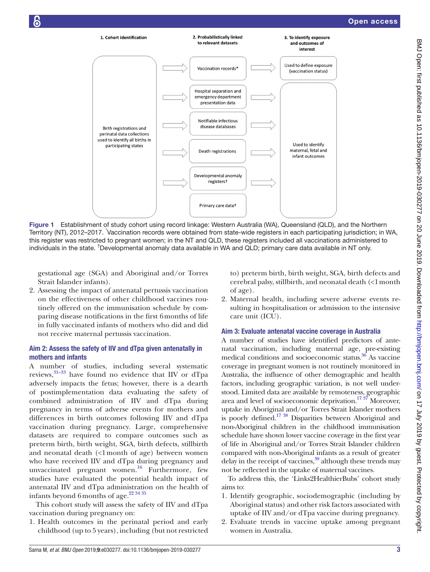

Figure 1 Establishment of study cohort using record linkage: Western Australia (WA), Queensland (QLD), and the Northern Territory (NT), 2012–2017. \* Vaccination records were obtained from state-wide registers in each participating jurisdiction; in WA, this register was restricted to pregnant women; in the NT and QLD, these registers included all vaccinations administered to individuals in the state. <sup>†</sup>Developmental anomaly data available in WA and QLD; primary care data available in NT only.

gestational age (SGA) and Aboriginal and/or Torres Strait Islander infants).

2. Assessing the impact of antenatal pertussis vaccination on the effectiveness of other childhood vaccines routinely offered on the immunisation schedule by comparing disease notifications in the first 6months of life in fully vaccinated infants of mothers who did and did not receive maternal pertussis vaccination.

#### Aim 2: Assess the safety of IIV and dTpa given antenatally in mothers and infants

A number of studies, including several systematic reviews, $31-33$  have found no evidence that IIV or dTpa adversely impacts the fetus; however, there is a dearth of postimplementation data evaluating the safety of combined administration of IIV and dTpa during pregnancy in terms of adverse events for mothers and differences in birth outcomes following IIV and dTpa vaccination during pregnancy. Large, comprehensive datasets are required to compare outcomes such as preterm birth, birth weight, SGA, birth defects, stillbirth and neonatal death (<1month of age) between women who have received IIV and dTpa during pregnancy and unvaccinated pregnant women.<sup>16</sup> Furthermore, few studies have evaluated the potential health impact of antenatal IIV and dTpa administration on the health of infants beyond 6 months of age.<sup>[22 34 35](#page-11-5)</sup>

This cohort study will assess the safety of IIV and dTpa vaccination during pregnancy on:

1. Health outcomes in the perinatal period and early childhood (up to 5 years), including (but not restricted <span id="page-5-0"></span>to) preterm birth, birth weight, SGA, birth defects and cerebral palsy, stillbirth, and neonatal death (<1month of age).

2. Maternal health, including severe adverse events resulting in hospitalisation or admission to the intensive care unit (ICU).

#### Aim 3: Evaluate antenatal vaccine coverage in Australia

A number of studies have identified predictors of antenatal vaccination, including maternal age, pre-existing medical conditions and socioeconomic status.<sup>36</sup> As vaccine coverage in pregnant women is not routinely monitored in Australia, the influence of other demographic and health factors, including geographic variation, is not well understood. Limited data are available by remoteness, geographic area and level of socioeconomic deprivation[.17 37](#page-10-12) Moreover, uptake in Aboriginal and/or Torres Strait Islander mothers is poorly defined[.17 38](#page-10-12) Disparities between Aboriginal and non-Aboriginal children in the childhood immunisation schedule have shown lower vaccine coverage in the first year of life in Aboriginal and/or Torres Strait Islander children compared with non-Aboriginal infants as a result of greater delay in the receipt of vaccines, $39$  although these trends may not be reflected in the uptake of maternal vaccines.

To address this, the 'Links2HealthierBubs' cohort study aims to:

- 1. Identify geographic, sociodemographic (including by Aboriginal status) and other risk factors associated with uptake of IIV and/or dTpa vaccine during pregnancy.
- 2. Evaluate trends in vaccine uptake among pregnant women in Australia.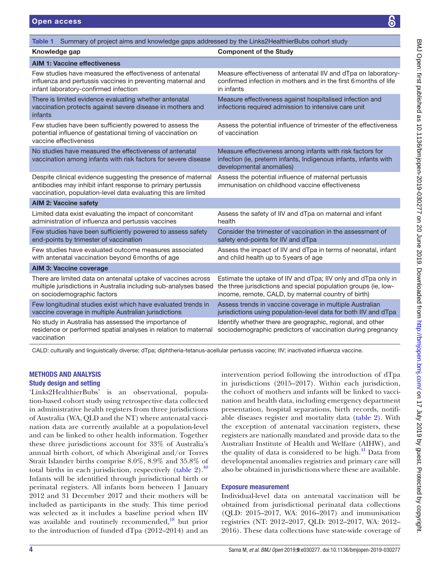<span id="page-6-0"></span>

| Table 1                                                                                                                                                                                        | Summary of project aims and knowledge gaps addressed by the Links2HealthierBubs cohort study                                                                                             |  |  |  |  |  |  |  |
|------------------------------------------------------------------------------------------------------------------------------------------------------------------------------------------------|------------------------------------------------------------------------------------------------------------------------------------------------------------------------------------------|--|--|--|--|--|--|--|
| Knowledge gap                                                                                                                                                                                  | <b>Component of the Study</b>                                                                                                                                                            |  |  |  |  |  |  |  |
| <b>AIM 1: Vaccine effectiveness</b>                                                                                                                                                            |                                                                                                                                                                                          |  |  |  |  |  |  |  |
| Few studies have measured the effectiveness of antenatal<br>influenza and pertussis vaccines in preventing maternal and<br>infant laboratory-confirmed infection                               | Measure effectiveness of antenatal IIV and dTpa on laboratory-<br>confirmed infection in mothers and in the first 6 months of life<br>in infants                                         |  |  |  |  |  |  |  |
| There is limited evidence evaluating whether antenatal<br>vaccination protects against severe disease in mothers and<br>infants                                                                | Measure effectiveness against hospitalised infection and<br>infections required admission to intensive care unit                                                                         |  |  |  |  |  |  |  |
| Few studies have been sufficiently powered to assess the<br>potential influence of gestational timing of vaccination on<br>vaccine effectiveness                                               | Assess the potential influence of trimester of the effectiveness<br>of vaccination                                                                                                       |  |  |  |  |  |  |  |
| No studies have measured the effectiveness of antenatal<br>vaccination among infants with risk factors for severe disease                                                                      | Measure effectiveness among infants with risk factors for<br>infection (ie, preterm infants, Indigenous infants, infants with<br>developmental anomalies)                                |  |  |  |  |  |  |  |
| Despite clinical evidence suggesting the presence of maternal<br>antibodies may inhibit infant response to primary pertussis<br>vaccination, population-level data evaluating this are limited | Assess the potential influence of maternal pertussis<br>immunisation on childhood vaccine effectiveness                                                                                  |  |  |  |  |  |  |  |
| <b>AIM 2: Vaccine safety</b>                                                                                                                                                                   |                                                                                                                                                                                          |  |  |  |  |  |  |  |
| Limited data exist evaluating the impact of concomitant<br>administration of influenza and pertussis vaccines                                                                                  | Assess the safety of IIV and dTpa on maternal and infant<br>health                                                                                                                       |  |  |  |  |  |  |  |
| Few studies have been sufficiently powered to assess safety<br>end-points by trimester of vaccination                                                                                          | Consider the trimester of vaccination in the assessment of<br>safety end-points for IIV and dTpa                                                                                         |  |  |  |  |  |  |  |
| Few studies have evaluated outcome measures associated<br>with antenatal vaccination beyond 6 months of age                                                                                    | Assess the impact of IIV and dTpa in terms of neonatal, infant<br>and child health up to 5 years of age                                                                                  |  |  |  |  |  |  |  |
| <b>AIM 3: Vaccine coverage</b>                                                                                                                                                                 |                                                                                                                                                                                          |  |  |  |  |  |  |  |
| There are limited data on antenatal uptake of vaccines across<br>multiple jurisdictions in Australia including sub-analyses based<br>on sociodemographic factors                               | Estimate the uptake of IIV and dTpa; IIV only and dTpa only in<br>the three jurisdictions and special population groups (ie, low-<br>income, remote, CALD, by maternal country of birth) |  |  |  |  |  |  |  |
| Few longitudinal studies exist which have evaluated trends in<br>vaccine coverage in multiple Australian jurisdictions                                                                         | Assess trends in vaccine coverage in multiple Australian<br>jurisdictions using population-level data for both IIV and dTpa                                                              |  |  |  |  |  |  |  |
| No study in Australia has assessed the importance of<br>residence or performed spatial analyses in relation to maternal<br>vaccination                                                         | Identify whether there are geographic, regional, and other<br>sociodemographic predictors of vaccination during pregnancy                                                                |  |  |  |  |  |  |  |

CALD: culturally and linguistically diverse; dTpa; diphtheria-tetanus-acellular pertussis vaccine; IIV; inactivated influenza vaccine.

# Methods and analysis

#### Study design and setting

'Links2HealthierBubs' is an observational, population-based cohort study using retrospective data collected in administrative health registers from three jurisdictions of Australia (WA, QLD and the NT) where antenatal vaccination data are currently available at a population-level and can be linked to other health information. Together these three jurisdictions account for 33% of Australia's annual birth cohort, of which Aboriginal and/or Torres Strait Islander births comprise 8.0%, 8.9% and 35.8% of total births in each jurisdiction, respectively  $(\text{table } 2)$ .<sup>40</sup> Infants will be identified through jurisdictional birth or perinatal registers. All infants born between 1 January 2012 and 31 December 2017 and their mothers will be included as participants in the study. This time period was selected as it includes a baseline period when IIV was available and routinely recommended, $^{18}$  but prior to the introduction of funded dTpa (2012–2014) and an

intervention period following the introduction of dTpa in jurisdictions (2015–2017). Within each jurisdiction, the cohort of mothers and infants will be linked to vaccination and health data, including emergency department presentation, hospital separations, birth records, notifiable diseases register and mortality data ([table](#page-7-0) 2). With the exception of antenatal vaccination registers, these registers are nationally mandated and provide data to the Australian Institute of Health and Welfare (AIHW), and the quality of data is considered to be high. $^{41}$  Data from developmental anomalies registries and primary care will also be obtained in jurisdictions where these are available.

#### Exposure measurement

Individual-level data on antenatal vaccination will be obtained from jurisdictional perinatal data collections (QLD: 2015–2017, WA: 2016–2017) and immunisation registries (NT: 2012–2017, QLD: 2012–2017, WA: 2012– 2016). These data collections have state-wide coverage of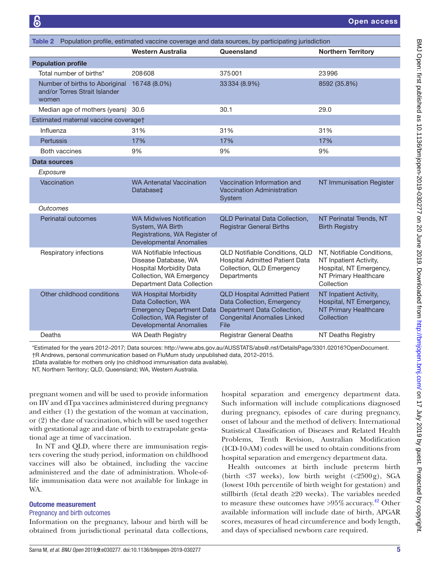<span id="page-7-0"></span>

| Table 2 Population profile, estimated vaccine coverage and data sources, by participating jurisdiction |                                                                          |                                                                                                                                                         |                                                                                                                                                 |                                                                                                                        |  |  |  |  |  |  |  |
|--------------------------------------------------------------------------------------------------------|--------------------------------------------------------------------------|---------------------------------------------------------------------------------------------------------------------------------------------------------|-------------------------------------------------------------------------------------------------------------------------------------------------|------------------------------------------------------------------------------------------------------------------------|--|--|--|--|--|--|--|
|                                                                                                        |                                                                          | <b>Western Australia</b>                                                                                                                                | Queensland                                                                                                                                      | <b>Northern Territory</b>                                                                                              |  |  |  |  |  |  |  |
|                                                                                                        | <b>Population profile</b>                                                |                                                                                                                                                         |                                                                                                                                                 |                                                                                                                        |  |  |  |  |  |  |  |
|                                                                                                        | Total number of births*                                                  | 208608                                                                                                                                                  | 375001                                                                                                                                          | 23996                                                                                                                  |  |  |  |  |  |  |  |
|                                                                                                        | Number of births to Aboriginal<br>and/or Torres Strait Islander<br>women | 16748 (8.0%)                                                                                                                                            | 33334 (8.9%)                                                                                                                                    | 8592 (35.8%)                                                                                                           |  |  |  |  |  |  |  |
|                                                                                                        | Median age of mothers (years) 30.6                                       |                                                                                                                                                         | 30.1                                                                                                                                            | 29.0                                                                                                                   |  |  |  |  |  |  |  |
|                                                                                                        | Estimated maternal vaccine coverage†                                     |                                                                                                                                                         |                                                                                                                                                 |                                                                                                                        |  |  |  |  |  |  |  |
|                                                                                                        | Influenza                                                                | 31%                                                                                                                                                     | 31%                                                                                                                                             | 31%                                                                                                                    |  |  |  |  |  |  |  |
|                                                                                                        | <b>Pertussis</b>                                                         | 17%                                                                                                                                                     | 17%                                                                                                                                             | 17%                                                                                                                    |  |  |  |  |  |  |  |
|                                                                                                        | <b>Both vaccines</b>                                                     | 9%                                                                                                                                                      | 9%                                                                                                                                              | 9%                                                                                                                     |  |  |  |  |  |  |  |
|                                                                                                        | <b>Data sources</b>                                                      |                                                                                                                                                         |                                                                                                                                                 |                                                                                                                        |  |  |  |  |  |  |  |
|                                                                                                        | Exposure                                                                 |                                                                                                                                                         |                                                                                                                                                 |                                                                                                                        |  |  |  |  |  |  |  |
|                                                                                                        | Vaccination                                                              | <b>WA Antenatal Vaccination</b><br>Database <sup>+</sup>                                                                                                | Vaccination Information and<br><b>Vaccination Administration</b><br>System                                                                      | NT Immunisation Register                                                                                               |  |  |  |  |  |  |  |
|                                                                                                        | <b>Outcomes</b>                                                          |                                                                                                                                                         |                                                                                                                                                 |                                                                                                                        |  |  |  |  |  |  |  |
|                                                                                                        | <b>Perinatal outcomes</b>                                                | <b>WA Midwives Notification</b><br>System, WA Birth<br>Registrations, WA Register of<br><b>Developmental Anomalies</b>                                  | <b>QLD Perinatal Data Collection,</b><br><b>Registrar General Births</b>                                                                        | NT Perinatal Trends, NT<br><b>Birth Registry</b>                                                                       |  |  |  |  |  |  |  |
|                                                                                                        | Respiratory infections                                                   | <b>WA Notifiable Infectious</b><br>Disease Database, WA<br>Hospital Morbidity Data<br>Collection, WA Emergency<br>Department Data Collection            | QLD Notifiable Conditions, QLD<br><b>Hospital Admitted Patient Data</b><br>Collection, QLD Emergency<br>Departments                             | NT, Notifiable Conditions,<br>NT Inpatient Activity,<br>Hospital, NT Emergency,<br>NT Primary Healthcare<br>Collection |  |  |  |  |  |  |  |
|                                                                                                        | Other childhood conditions                                               | <b>WA Hospital Morbidity</b><br>Data Collection, WA<br><b>Emergency Department Data</b><br>Collection, WA Register of<br><b>Developmental Anomalies</b> | <b>QLD Hospital Admitted Patient</b><br>Data Collection, Emergency<br>Department Data Collection,<br><b>Congenital Anomalies Linked</b><br>File | NT Inpatient Activity,<br>Hospital, NT Emergency,<br>NT Primary Healthcare<br>Collection                               |  |  |  |  |  |  |  |
|                                                                                                        | Deaths                                                                   | <b>WA Death Registry</b>                                                                                                                                | <b>Registrar General Deaths</b>                                                                                                                 | NT Deaths Registry                                                                                                     |  |  |  |  |  |  |  |

\*Estimated for the years 2012–2017; Data sources: [http://www.abs.gov.au/AUSSTATS/abs@.nsf/DetailsPage/3301.02016?OpenDocument.](http://www.abs.gov.au/AUSSTATS/abs@.nsf/DetailsPage/3301.02016?OpenDocument;) †R Andrews, personal communication based on FluMum study unpublished data, 2012–2015.

‡Data available for mothers only (no childhood immunisation data available).

NT, Northern Territory; QLD, Queensland; WA, Western Australia.

pregnant women and will be used to provide information on IIV and dTpa vaccines administered during pregnancy and either (1) the gestation of the woman at vaccination, or (2) the date of vaccination, which will be used together with gestational age and date of birth to extrapolate gestational age at time of vaccination.

In NT and QLD, where there are immunisation registers covering the study period, information on childhood vaccines will also be obtained, including the vaccine administered and the date of administration. Whole-oflife immunisation data were not available for linkage in WA.

#### Outcome measurement

#### Pregnancy and birth outcomes

Information on the pregnancy, labour and birth will be obtained from jurisdictional perinatal data collections, hospital separation and emergency department data. Such information will include complications diagnosed during pregnancy, episodes of care during pregnancy, onset of labour and the method of delivery. International Statistical Classification of Diseases and Related Health Problems, Tenth Revision, Australian Modification (ICD-10-AM) codes will be used to obtain conditions from hospital separation and emergency department data.

Health outcomes at birth include preterm birth (birth  $\langle 37 \rangle$  weeks), low birth weight  $(\langle 2500 \rangle)$ , SGA (lowest 10th percentile of birth weight for gestation) and stillbirth (fetal death ≥20 weeks). The variables needed to measure these outcomes have >95% accuracy.<sup>[42](#page-11-10)</sup> Other available information will include date of birth, APGAR scores, measures of head circumference and body length, and days of specialised newborn care required.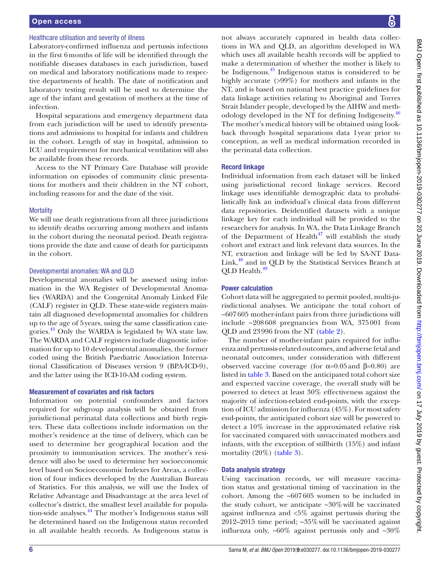#### Open access

#### Healthcare utilisation and severity of illness

Laboratory-confirmed influenza and pertussis infections in the first 6months of life will be identified through the notifiable diseases databases in each jurisdiction, based on medical and laboratory notifications made to respective departments of health. The date of notification and laboratory testing result will be used to determine the age of the infant and gestation of mothers at the time of infection.

Hospital separations and emergency department data from each jurisdiction will be used to identify presentations and admissions to hospital for infants and children in the cohort. Length of stay in hospital, admission to ICU and requirement for mechanical ventilation will also be available from these records.

Access to the NT Primary Care Database will provide information on episodes of community clinic presentations for mothers and their children in the NT cohort, including reasons for and the date of the visit.

#### **Mortality**

We will use death registrations from all three jurisdictions to identify deaths occurring among mothers and infants in the cohort during the neonatal period. Death registrations provide the date and cause of death for participants in the cohort.

#### Developmental anomalies: WA and QLD

Developmental anomalies will be assessed using information in the WA Register of Developmental Anomalies (WARDA) and the Congenital Anomaly Linked File (CALF) register in QLD. These state-wide registers maintain all diagnosed developmental anomalies for children up to the age of 5years, using the same classification categories[.43](#page-11-11) Only the WARDA is legislated by WA state law. The WARDA and CALF registers include diagnostic information for up to 10 developmental anomalies, the former coded using the British Paediatric Association International Classification of Diseases version 9 (BPA-ICD-9), and the latter using the ICD-10-AM coding system.

#### Measurement of covariates and risk factors

Information on potential confounders and factors required for subgroup analysis will be obtained from jurisdictional perinatal data collections and birth registers. These data collections include information on the mother's residence at the time of delivery, which can be used to determine her geographical location and the proximity to immunisation services. The mother's residence will also be used to determine her socioeconomic level based on Socioeconomic Indexes for Areas, a collection of four indices developed by the Australian Bureau of Statistics. For this analysis, we will use the Index of Relative Advantage and Disadvantage at the area level of collector's district, the smallest level available for population-wide analyses.<sup>44</sup> The mother's Indigenous status will be determined based on the Indigenous status recorded in all available health records. As Indigenous status is

not always accurately captured in health data collections in WA and QLD, an algorithm developed in WA which uses all available health records will be applied to make a determination of whether the mother is likely to be Indigenous.[45](#page-11-13) Indigenous status is considered to be highly accurate (>99%) for mothers and infants in the NT, and is based on national best practice guidelines for data linkage activities relating to Aboriginal and Torres Strait Islander people, developed by the AIHW and meth-odology developed in the NT for defining Indigeneity.<sup>[46](#page-11-14)</sup> The mother's medical history will be obtained using lookback through hospital separations data 1year prior to conception, as well as medical information recorded in the perinatal data collection.

#### Record linkage

Individual information from each dataset will be linked using jurisdictional record linkage services. Record linkage uses identifiable demographic data to probabilistically link an individual's clinical data from different data repositories. Deidentified datasets with a unique linkage key for each individual will be provided to the researchers for analysis. In WA, the Data Linkage Branch of the Department of Health $47$  will establish the study cohort and extract and link relevant data sources. In the NT, extraction and linkage will be led by SA-NT Data-Link,<sup>48</sup> and in QLD by the Statistical Services Branch at OLD Health.<sup>[49](#page-11-17)</sup>

#### Power calculation

Cohort data will be aggregated to permit pooled, multi-jurisdictional analyses. We anticipate the total cohort of ~607605 mother-infant pairs from three jurisdictions will include ~208608 pregnancies from WA, 375001 from QLD and 23996 from the NT [\(table](#page-7-0) 2).

The number of mother-infant pairs required for influenza and pertussis-related outcomes, and adverse fetal and neonatal outcomes, under consideration with different observed vaccine coverage (for  $\alpha$ =0.05 and β=0.80) are listed in [table](#page-9-0) 3. Based on the anticipated total cohort size and expected vaccine coverage, the overall study will be powered to detect at least 30% effectiveness against the majority of infection-related end-points, with the exception of ICU admission for influenza (45%). For most safety end-points, the anticipated cohort size will be powered to detect a 10% increase in the approximated relative risk for vaccinated compared with unvaccinated mothers and infants, with the exception of stillbirth (15%) and infant mortality (20%) ([table](#page-9-0) 3).

#### Data analysis strategy

Using vaccination records, we will measure vaccination status and gestational timing of vaccination in the cohort. Among the ~607605 women to be included in the study cohort, we anticipate  $\sim 30\%$  will be vaccinated against influenza and <5% against pertussis during the 2012–2015 time period; ~35%will be vaccinated against influenza only,  $~60\%$  against pertussis only and  $~30\%$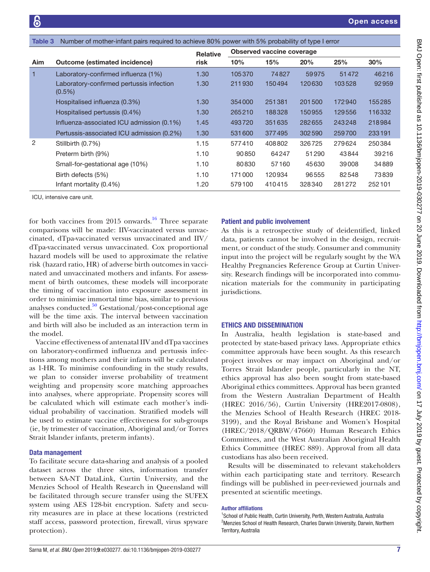<span id="page-9-0"></span>

| Number of mother-infant pairs required to achieve 80% power with 5% probability of type I error<br>Table 3 |                                                       |                 |                           |        |        |        |        |  |  |
|------------------------------------------------------------------------------------------------------------|-------------------------------------------------------|-----------------|---------------------------|--------|--------|--------|--------|--|--|
|                                                                                                            |                                                       | <b>Relative</b> | Observed vaccine coverage |        |        |        |        |  |  |
| Aim<br><b>Outcome (estimated incidence)</b>                                                                |                                                       | risk            | 10%                       | 15%    | 20%    | 25%    | 30%    |  |  |
| 1                                                                                                          | Laboratory-confirmed influenza (1%)                   | 1.30            | 105370                    | 74827  | 59975  | 51472  | 46216  |  |  |
|                                                                                                            | Laboratory-confirmed pertussis infection<br>$(0.5\%)$ | 1.30            | 211930                    | 150494 | 120630 | 103528 | 92959  |  |  |
|                                                                                                            | Hospitalised influenza (0.3%)                         | 1.30            | 354000                    | 251381 | 201500 | 172940 | 155285 |  |  |
|                                                                                                            | Hospitalised pertussis (0.4%)                         | 1.30            | 265210                    | 188328 | 150955 | 129556 | 116332 |  |  |
|                                                                                                            | Influenza-associated ICU admission (0.1%)             | 1.45            | 493720                    | 351635 | 282655 | 243248 | 218984 |  |  |
|                                                                                                            | Pertussis-associated ICU admission (0.2%)             | 1.30            | 531600                    | 377495 | 302590 | 259700 | 233191 |  |  |
| 2                                                                                                          | Stillbirth (0.7%)                                     | 1.15            | 577410                    | 408802 | 326725 | 279624 | 250384 |  |  |
|                                                                                                            | Preterm birth (9%)                                    | 1.10            | 90850                     | 64247  | 51290  | 43844  | 39216  |  |  |
|                                                                                                            | Small-for-gestational age (10%)                       | 1.10            | 80830                     | 57160  | 45630  | 39008  | 34889  |  |  |
|                                                                                                            | Birth defects (5%)                                    | 1.10            | 171000                    | 120934 | 96555  | 82548  | 73839  |  |  |
|                                                                                                            | Infant mortality (0.4%)                               | 1.20            | 579100                    | 410415 | 328340 | 281272 | 252101 |  |  |

ICU, intensive care unit.

for both vaccines from  $2015$  onwards.<sup>[16](#page-10-11)</sup> Three separate comparisons will be made: IIV-vaccinated versus unvaccinated, dTpa-vaccinated versus unvaccinated and IIV/ dTpa-vaccinated versus unvaccinated. Cox proportional hazard models will be used to approximate the relative risk (hazard ratio, HR) of adverse birth outcomes in vaccinated and unvaccinated mothers and infants. For assessment of birth outcomes, these models will incorporate the timing of vaccination into exposure assessment in order to minimise immortal time bias, similar to previous analyses conducted.<sup>[50](#page-11-18)</sup> Gestational/post-conceptional age will be the time axis. The interval between vaccination and birth will also be included as an interaction term in the model.

Vaccine effectiveness of antenatal IIV and dTpa vaccines on laboratory-confirmed influenza and pertussis infections among mothers and their infants will be calculated as 1-HR. To minimise confounding in the study results, we plan to consider inverse probability of treatment weighting and propensity score matching approaches into analyses, where appropriate. Propensity scores will be calculated which will estimate each mother's individual probability of vaccination. Stratified models will be used to estimate vaccine effectiveness for sub-groups (ie, by trimester of vaccination, Aboriginal and/or Torres Strait Islander infants, preterm infants).

#### Data management

To facilitate secure data-sharing and analysis of a pooled dataset across the three sites, information transfer between SA-NT DataLink, Curtin University, and the Menzies School of Health Research in Queensland will be facilitated through secure transfer using the SUFEX system using AES 128-bit encryption. Safety and security measures are in place at these locations (restricted staff access, password protection, firewall, virus spyware protection).

#### Patient and public involvement

As this is a retrospective study of deidentified, linked data, patients cannot be involved in the design, recruitment, or conduct of the study. Consumer and community input into the project will be regularly sought by the WA Healthy Pregnancies Reference Group at Curtin University. Research findings will be incorporated into communication materials for the community in participating jurisdictions.

#### Ethics and dissemination

In Australia, health legislation is state-based and protected by state-based privacy laws. Appropriate ethics committee approvals have been sought. As this research project involves or may impact on Aboriginal and/or Torres Strait Islander people, particularly in the NT, ethics approval has also been sought from state-based Aboriginal ethics committees. Approval has been granted from the Western Australian Department of Health (HREC 2016/56), Curtin University (HRE2017-0808), the Menzies School of Health Research (HREC 2018- 3199), and the Royal Brisbane and Women's Hospital (HREC/2018/QRBW/47660) Human Research Ethics Committees, and the West Australian Aboriginal Health Ethics Committee (HREC 889). Approval from all data custodians has also been received.

Results will be disseminated to relevant stakeholders within each participating state and territory. Research findings will be published in peer-reviewed journals and presented at scientific meetings.

#### Author affiliations

<sup>&</sup>lt;sup>1</sup>School of Public Health, Curtin University, Perth, Western Australia, Australia <sup>2</sup>Menzies School of Health Research, Charles Darwin University, Darwin, Northern Territory, Australia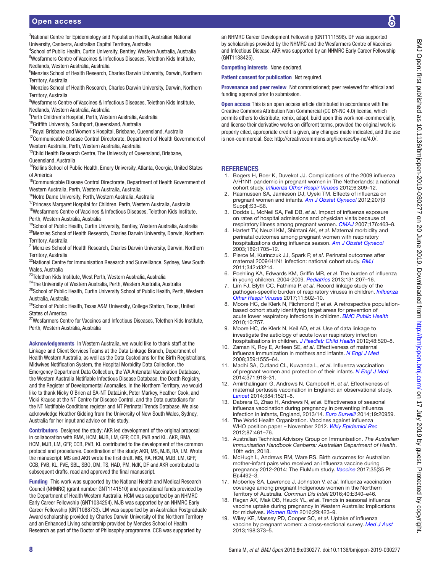# Open access

<sup>3</sup>National Centre for Epidemiology and Population Health, Australian National University, Canberra, Australian Capital Territory, Australia

4 School of Public Health, Curtin University, Bentley, Western Australia, Australia 5 Wesfarmers Centre of Vaccines & Infectious Diseases, Telethon Kids Institute, Nedlands, Western Australia, Australia

<sup>6</sup>Menzies School of Health Research, Charles Darwin University, Darwin, Northern Territory, Australia

<sup>7</sup> Menzies School of Health Research, Charles Darwin University, Darwin, Northern Territory, Australia

<sup>8</sup>Wesfarmers Centre of Vaccines & Infectious Diseases, Telethon Kids Institute, Nedlands, Western Australia, Australia

9 Perth Children's Hospital, Perth, Western Australia, Australia

<sup>10</sup>Griffith University, Southport, Queensland, Australia

11Royal Brisbane and Women's Hospital, Brisbane, Queensland, Australia

<sup>12</sup>Communicable Disease Control Directorate, Department of Health Government of Western Australia, Perth, Western Australia, Australia

<sup>13</sup>Child Health Research Centre, The University of Queensland, Brisbane, Queensland, Australia

<sup>14</sup>Rollins School of Public Health, Emory University, Atlanta, Georgia, United States of America

<sup>15</sup>Communicable Disease Control Directorate, Department of Health Government of Western Australia, Perth, Western Australia, Australia

<sup>16</sup>Notre Dame University, Perth, Western Australia, Australia

<sup>17</sup>Princess Margaret Hospital for Children, Perth, Western Australia, Australia

<sup>18</sup>Wesfarmers Centre of Vaccines & Infectious Diseases, Telethon Kids Institute, Perth, Western Australia, Australia

<sup>19</sup>School of Public Health, Curtin University, Bentley, Western Australia, Australia <sup>20</sup>Menzies School of Health Research, Charles Darwin University, Darwin, Northern Territory, Australia

<sup>21</sup> Menzies School of Health Research, Charles Darwin University, Darwin, Northern Territory, Australia

 $22$ National Centre for Immunisation Research and Surveillance, Sydney, New South Wales, Australia

<sup>23</sup>Telethon Kids Institute, West Perth, Western Australia, Australia

<sup>24</sup>The University of Western Australia, Perth, Western Australia, Australia

<sup>25</sup>School of Public Health, Curtin University School of Public Health, Perth, Western Australia, Australia

<sup>26</sup>School of Public Health, Texas A&M University, College Station, Texas, United States of America

<sup>27</sup>Wesfarmers Centre for Vaccines and Infectious Diseases, Telethon Kids Institute, Perth, Western Australia, Australia

Acknowledgements In Western Australia, we would like to thank staff at the Linkage and Client Services Teams at the Data Linkage Branch, Department of Health Western Australia, as well as the Data Custodians for the Birth Registrations, Midwives Notification System, the Hospital Morbidity Data Collection, the Emergency Department Data Collection, the WA Antenatal Vaccination Database, the Western Australia Notifiable Infectious Disease Database, the Death Registry, and the Register of Developmental Anomalies. In the Northern Territory, we would like to thank Nicky O'Brien at SA-NT DataLink, Peter Markey, Heather Cook, and Vicki Krause at the NT Centre for Disease Control, and the Data custodians for the NT Notifiable Conditions register and NT Perinatal Trends Database. We also acknowledge Heather Gidding from the University of New South Wales, Sydney, Australia for her input and advice on this study.

Contributors Designed the study: AKR led development of the original proposal in collaboration with RMA, HCM, MJB, LM, GFP, CCB, PVB and KL. AKR, RMA, HCM, MJB, LM, GFP, CCB, PVB, KL contributed to the development of the common protocol and procedures. Coordination of the study: AKR, MS, MJB, RA, LM. Wrote the manuscript: MS and AKR wrote the first draft. MS, RA, HCM, MJB, LM, GFP, CCB, PVB, KL, PVE, SBL, SBO, DM, TS, HAD, PM, NdK, DF and AKR contributed to subsequent drafts, read and approved the final manuscript.

Funding This work was supported by the National Health and Medical Research Council (NHMRC) (grant number GNT1141510) and operational funds provided by the Department of Health Western Australia. HCM was supported by an NHMRC Early Career Fellowship (GNT1034254). MJB was supported by an NHMRC Early Career Fellowship (GNT1088733). LM was supported by an Australian Postgraduate Award scholarship provided by Charles Darwin University of the Northern Territory and an Enhanced Living scholarship provided by Menzies School of Health Research as part of the Doctor of Philosophy programme. CCB was supported by

an NHMRC Career Development Fellowship (GNT1111596). DF was supported by scholarships provided by the NHMRC and the Wesfarmers Centre of Vaccines and Infectious Disease. AKR was supported by an NHMRC Early Career Fellowship (GNT1138425).

Competing interests None declared.

Patient consent for publication Not required.

Provenance and peer review Not commissioned; peer reviewed for ethical and funding approval prior to submission.

Open access This is an open access article distributed in accordance with the Creative Commons Attribution Non Commercial (CC BY-NC 4.0) license, which permits others to distribute, remix, adapt, build upon this work non-commercially, and license their derivative works on different terms, provided the original work is properly cited, appropriate credit is given, any changes made indicated, and the use is non-commercial. See: [http://creativecommons.org/licenses/by-nc/4.0/.](http://creativecommons.org/licenses/by-nc/4.0/)

### **REFERENCES**

- <span id="page-10-0"></span>1. Bogers H, Boer K, Duvekot JJ. Complications of the 2009 influenza A/H1N1 pandemic in pregnant women in The Netherlands: a national cohort study. *[Influenza Other Respir Viruses](http://dx.doi.org/10.1111/j.1750-2659.2011.00315.x)* 2012;6:309–12.
- 2. Rasmussen SA, Jamieson DJ, Uyeki TM. Effects of influenza on pregnant women and infants. *[Am J Obstet Gynecol](http://dx.doi.org/10.1016/j.ajog.2012.06.068)* 2012;207(3 Suppl):S3-S8
- <span id="page-10-1"></span>3. Dodds L, McNeil SA, Fell DB, *et al*. Impact of influenza exposure on rates of hospital admissions and physician visits because of respiratory illness among pregnant women. *[CMAJ](http://dx.doi.org/10.1503/cmaj.061435)* 2007;176:463–8.
- 4. Hartert TV, Neuzil KM, Shintani AK, *et al*. Maternal morbidity and perinatal outcomes among pregnant women with respiratory hospitalizations during influenza season. *[Am J Obstet Gynecol](http://dx.doi.org/10.1016/S0002-9378(03)00857-3)* 2003;189:1705–12.
- <span id="page-10-2"></span>5. Pierce M, Kurinczuk JJ, Spark P, *et al*. Perinatal outcomes after maternal 2009/H1N1 infection: national cohort study. *[BMJ](http://dx.doi.org/10.1136/bmj.d3214)* 2011;342:d3214.
- <span id="page-10-3"></span>6. Poehling KA, Edwards KM, Griffin MR, *et al*. The burden of influenza in young children, 2004-2009. *[Pediatrics](http://dx.doi.org/10.1542/peds.2012-1255)* 2013;131:207–16.
- <span id="page-10-4"></span>7. Lim FJ, Blyth CC, Fathima P, *et al*. Record linkage study of the pathogen-specific burden of respiratory viruses in children. *[Influenza](http://dx.doi.org/10.1111/irv.12508)  [Other Respir Viruses](http://dx.doi.org/10.1111/irv.12508)* 2017;11:502–10.
- <span id="page-10-5"></span>8. Moore HC, de Klerk N, Richmond P, *et al*. A retrospective populationbased cohort study identifying target areas for prevention of acute lower respiratory infections in children. *[BMC Public Health](http://dx.doi.org/10.1186/1471-2458-10-757)* 2010;10:757.
- <span id="page-10-6"></span>9. Moore HC, de Klerk N, Keil AD, *et al*. Use of data linkage to investigate the aetiology of acute lower respiratory infection hospitalisations in children. *[J Paediatr Child Health](http://dx.doi.org/10.1111/j.1440-1754.2011.02229.x)* 2012;48:520–8.
- <span id="page-10-7"></span>10. Zaman K, Roy E, Arifeen SE, *et al*. Effectiveness of maternal influenza immunization in mothers and infants. *[N Engl J Med](http://dx.doi.org/10.1056/NEJMoa0708630)* 2008;359:1555–64.
- 11. Madhi SA, Cutland CL, Kuwanda L, *et al*. Influenza vaccination of pregnant women and protection of their infants. *[N Engl J Med](http://dx.doi.org/10.1056/NEJMoa1401480)* 2014;371:918–31.
- <span id="page-10-8"></span>12. Amirthalingam G, Andrews N, Campbell H, *et al*. Effectiveness of maternal pertussis vaccination in England: an observational study. *[Lancet](http://dx.doi.org/10.1016/S0140-6736(14)60686-3)* 2014;384:1521–8.
- 13. Dabrera G, Zhao H, Andrews N, *et al*. Effectiveness of seasonal influenza vaccination during pregnancy in preventing influenza infection in infants, England, 2013/14. *[Euro Surveill](http://dx.doi.org/10.2807/1560-7917.ES2014.19.45.20959)* 2014;19:20959.
- <span id="page-10-9"></span>14. The World Health Organization. Vaccines against influenza WHO position paper – November 2012. *[Wkly Epidemiol Rec](http://www.ncbi.nlm.nih.gov/pubmed/23210147)* 2012;87:461–76.
- <span id="page-10-10"></span>15. Australian Technical Advisory Group on Immunisation. *The Australian Immunisation Handbook Canberra: Australian Department of Health*. 10th edn, 2018.
- <span id="page-10-11"></span>16. McHugh L, Andrews RM, Ware RS. Birth outcomes for Australian mother-infant pairs who received an influenza vaccine during pregnancy 2012-2014: The FluMum study. *[Vaccine](http://dx.doi.org/10.1016/j.vaccine.2017.06.008)* 2017;35(35 Pt B):4492–3.
- <span id="page-10-12"></span>17. Moberley SA, Lawrence J, Johnston V, *et al*. Influenza vaccination coverage among pregnant Indigenous women in the Northern Territory of Australia. *Commun Dis Intell* 2016;40:E340–e46.
- <span id="page-10-13"></span>18. Regan AK, Mak DB, Hauck YL, *et al*. Trends in seasonal influenza vaccine uptake during pregnancy in Western Australia: Implications for midwives. *[Women Birth](http://dx.doi.org/10.1016/j.wombi.2016.01.009)* 2016;29:423–9.
- 19. Wiley KE, Massey PD, Cooper SC, *et al*. Uptake of influenza vaccine by pregnant women: a cross-sectional survey. *[Med J Aust](http://dx.doi.org/10.5694/mja12.11849)* 2013;198:373–5.